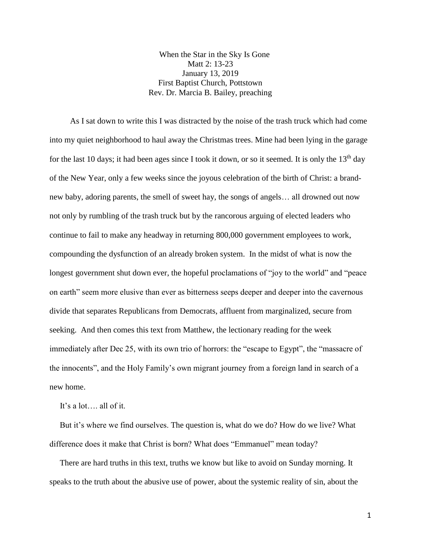When the Star in the Sky Is Gone Matt 2: 13-23 January 13, 2019 First Baptist Church, Pottstown Rev. Dr. Marcia B. Bailey, preaching

 As I sat down to write this I was distracted by the noise of the trash truck which had come into my quiet neighborhood to haul away the Christmas trees. Mine had been lying in the garage for the last 10 days; it had been ages since I took it down, or so it seemed. It is only the  $13<sup>th</sup>$  day of the New Year, only a few weeks since the joyous celebration of the birth of Christ: a brandnew baby, adoring parents, the smell of sweet hay, the songs of angels… all drowned out now not only by rumbling of the trash truck but by the rancorous arguing of elected leaders who continue to fail to make any headway in returning 800,000 government employees to work, compounding the dysfunction of an already broken system. In the midst of what is now the longest government shut down ever, the hopeful proclamations of "joy to the world" and "peace on earth" seem more elusive than ever as bitterness seeps deeper and deeper into the cavernous divide that separates Republicans from Democrats, affluent from marginalized, secure from seeking. And then comes this text from Matthew, the lectionary reading for the week immediately after Dec 25, with its own trio of horrors: the "escape to Egypt", the "massacre of the innocents", and the Holy Family's own migrant journey from a foreign land in search of a new home.

It's a lot…. all of it.

 But it's where we find ourselves. The question is, what do we do? How do we live? What difference does it make that Christ is born? What does "Emmanuel" mean today?

 There are hard truths in this text, truths we know but like to avoid on Sunday morning. It speaks to the truth about the abusive use of power, about the systemic reality of sin, about the

1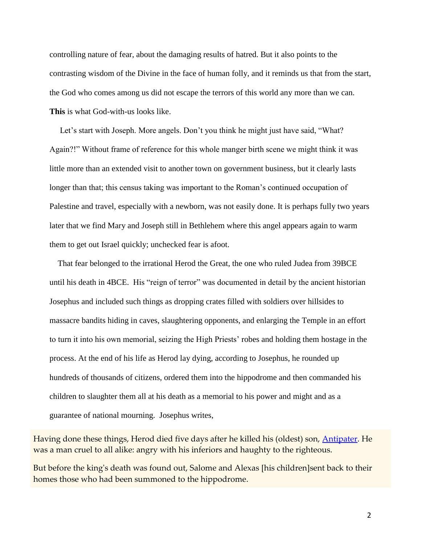controlling nature of fear, about the damaging results of hatred. But it also points to the contrasting wisdom of the Divine in the face of human folly, and it reminds us that from the start, the God who comes among us did not escape the terrors of this world any more than we can. **This** is what God-with-us looks like.

Let's start with Joseph. More angels. Don't you think he might just have said, "What? Again?!" Without frame of reference for this whole manger birth scene we might think it was little more than an extended visit to another town on government business, but it clearly lasts longer than that; this census taking was important to the Roman's continued occupation of Palestine and travel, especially with a newborn, was not easily done. It is perhaps fully two years later that we find Mary and Joseph still in Bethlehem where this angel appears again to warm them to get out Israel quickly; unchecked fear is afoot.

 That fear belonged to the irrational Herod the Great, the one who ruled Judea from 39BCE until his death in 4BCE. His "reign of terror" was documented in detail by the ancient historian Josephus and included such things as dropping crates filled with soldiers over hillsides to massacre bandits hiding in caves, slaughtering opponents, and enlarging the Temple in an effort to turn it into his own memorial, seizing the High Priests' robes and holding them hostage in the process. At the end of his life as Herod lay dying, according to Josephus, he rounded up hundreds of thousands of citizens, ordered them into the hippodrome and then commanded his children to slaughter them all at his death as a memorial to his power and might and as a guarantee of national mourning. Josephus writes,

Having done these things, Herod died five days after he killed his (oldest) son, [Antipater.](javascript:launch() He was a man cruel to all alike: angry with his inferiors and haughty to the righteous.

But before the king's death was found out, Salome and Alexas [his children]sent back to their homes those who had been summoned to the hippodrome.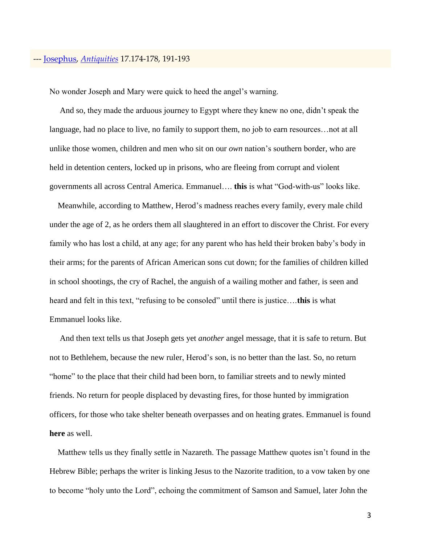## --- [Josephus,](javascript:launch() *[Antiquities](javascript:launch()* 17.174-178, 191-193

No wonder Joseph and Mary were quick to heed the angel's warning.

 And so, they made the arduous journey to Egypt where they knew no one, didn't speak the language, had no place to live, no family to support them, no job to earn resources... not at all unlike those women, children and men who sit on our *own* nation's southern border, who are held in detention centers, locked up in prisons, who are fleeing from corrupt and violent governments all across Central America. Emmanuel…. **this** is what "God-with-us" looks like.

 Meanwhile, according to Matthew, Herod's madness reaches every family, every male child under the age of 2, as he orders them all slaughtered in an effort to discover the Christ. For every family who has lost a child, at any age; for any parent who has held their broken baby's body in their arms; for the parents of African American sons cut down; for the families of children killed in school shootings, the cry of Rachel, the anguish of a wailing mother and father, is seen and heard and felt in this text, "refusing to be consoled" until there is justice….**this** is what Emmanuel looks like.

 And then text tells us that Joseph gets yet *another* angel message, that it is safe to return. But not to Bethlehem, because the new ruler, Herod's son, is no better than the last. So, no return "home" to the place that their child had been born, to familiar streets and to newly minted friends. No return for people displaced by devasting fires, for those hunted by immigration officers, for those who take shelter beneath overpasses and on heating grates. Emmanuel is found **here** as well.

 Matthew tells us they finally settle in Nazareth. The passage Matthew quotes isn't found in the Hebrew Bible; perhaps the writer is linking Jesus to the Nazorite tradition, to a vow taken by one to become "holy unto the Lord", echoing the commitment of Samson and Samuel, later John the

3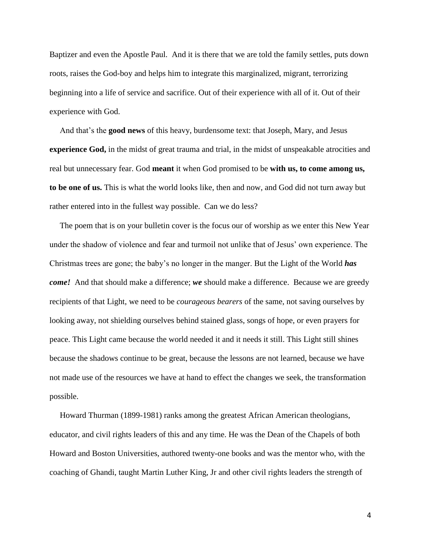Baptizer and even the Apostle Paul. And it is there that we are told the family settles, puts down roots, raises the God-boy and helps him to integrate this marginalized, migrant, terrorizing beginning into a life of service and sacrifice. Out of their experience with all of it. Out of their experience with God.

 And that's the **good news** of this heavy, burdensome text: that Joseph, Mary, and Jesus **experience God,** in the midst of great trauma and trial, in the midst of unspeakable atrocities and real but unnecessary fear. God **meant** it when God promised to be **with us, to come among us, to be one of us.** This is what the world looks like, then and now, and God did not turn away but rather entered into in the fullest way possible. Can we do less?

 The poem that is on your bulletin cover is the focus our of worship as we enter this New Year under the shadow of violence and fear and turmoil not unlike that of Jesus' own experience. The Christmas trees are gone; the baby's no longer in the manger. But the Light of the World *has come!* And that should make a difference; *we* should make a difference. Because we are greedy recipients of that Light, we need to be *courageous bearers* of the same, not saving ourselves by looking away, not shielding ourselves behind stained glass, songs of hope, or even prayers for peace. This Light came because the world needed it and it needs it still. This Light still shines because the shadows continue to be great, because the lessons are not learned, because we have not made use of the resources we have at hand to effect the changes we seek, the transformation possible.

 Howard Thurman (1899-1981) ranks among the greatest African American theologians, educator, and civil rights leaders of this and any time. He was the Dean of the Chapels of both Howard and Boston Universities, authored twenty-one books and was the mentor who, with the coaching of Ghandi, taught Martin Luther King, Jr and other civil rights leaders the strength of